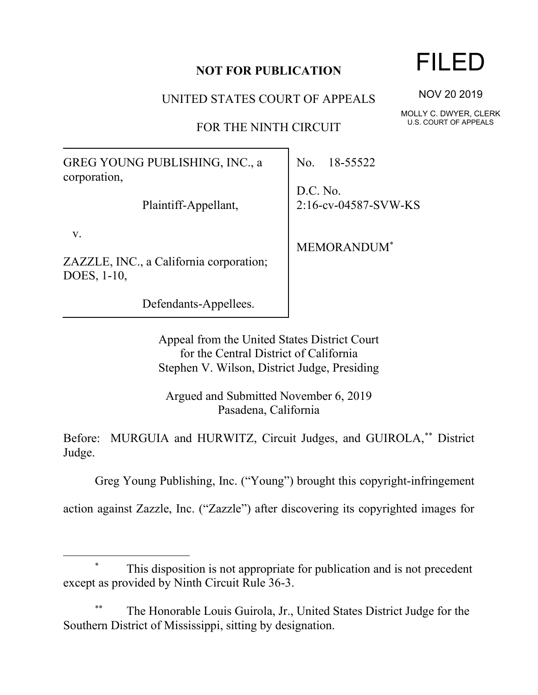## **NOT FOR PUBLICATION**

UNITED STATES COURT OF APPEALS

FOR THE NINTH CIRCUIT

GREG YOUNG PUBLISHING, INC., a corporation,

Plaintiff-Appellant,

v.

ZAZZLE, INC., a California corporation; DOES, 1-10,

Defendants-Appellees.

No. 18-55522

D.C. No. 2:16-cv-04587-SVW-KS

MEMORANDUM\*

Appeal from the United States District Court for the Central District of California Stephen V. Wilson, District Judge, Presiding

Argued and Submitted November 6, 2019 Pasadena, California

Before: MURGUIA and HURWITZ, Circuit Judges, and GUIROLA,\*\* District Judge.

Greg Young Publishing, Inc. ("Young") brought this copyright-infringement

action against Zazzle, Inc. ("Zazzle") after discovering its copyrighted images for

## This disposition is not appropriate for publication and is not precedent except as provided by Ninth Circuit Rule 36-3.

The Honorable Louis Guirola, Jr., United States District Judge for the Southern District of Mississippi, sitting by designation.

FILED

NOV 20 2019

MOLLY C. DWYER, CLERK U.S. COURT OF APPEALS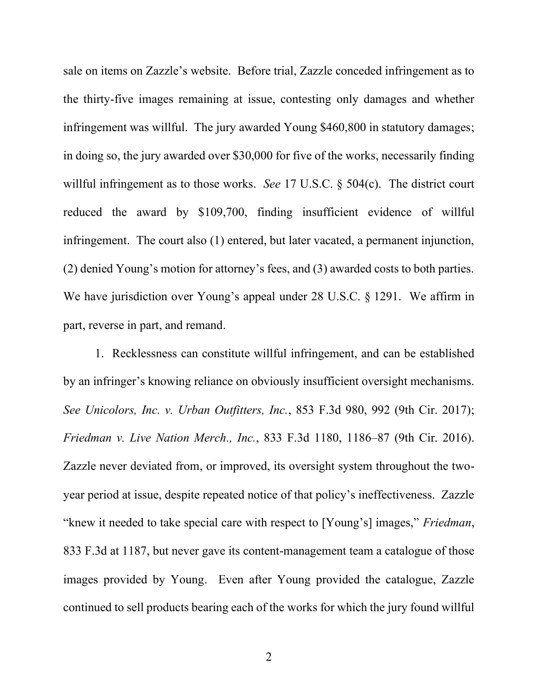sale on items on Zazzle's website. Before trial, Zazzle conceded infringement as to the thirty-five images remaining at issue, contesting only damages and whether infringement was willful. The jury awarded Young \$460,800 in statutory damages; in doing so, the jury awarded over \$30,000 for five of the works, necessarily finding willful infringement as to those works. *See* 17 U.S.C. § 504(c). The district court reduced the award by \$109,700, finding insufficient evidence of willful infringement. The court also (1) entered, but later vacated, a permanent injunction, (2) denied Young's motion for attorney's fees, and (3) awarded costs to both parties. We have jurisdiction over Young's appeal under 28 U.S.C. § 1291. We affirm in part, reverse in part, and remand.

1. Recklessness can constitute willful infringement, and can be established by an infringer's knowing reliance on obviously insufficient oversight mechanisms. *See Unicolors, Inc. v. Urban Outfitters, Inc.*, 853 F.3d 980, 992 (9th Cir. 2017); *Friedman v. Live Nation Merch., Inc.*, 833 F.3d 1180, 1186–87 (9th Cir. 2016). Zazzle never deviated from, or improved, its oversight system throughout the twoyear period at issue, despite repeated notice of that policy's ineffectiveness. Zazzle "knew it needed to take special care with respect to [Young's] images," *Friedman*, 833 F.3d at 1187, but never gave its content-management team a catalogue of those images provided by Young.Even after Young provided the catalogue, Zazzle continued to sell products bearing each of the works for which the jury found willful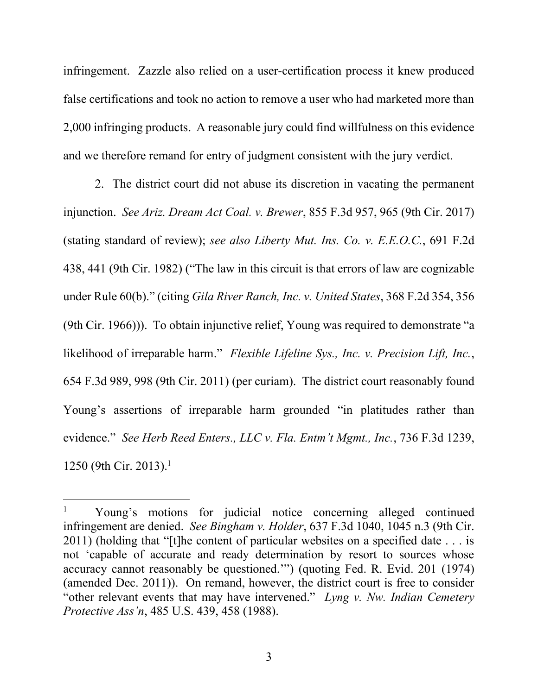infringement. Zazzle also relied on a user-certification process it knew produced false certifications and took no action to remove a user who had marketed more than 2,000 infringing products. A reasonable jury could find willfulness on this evidence and we therefore remand for entry of judgment consistent with the jury verdict.

2. The district court did not abuse its discretion in vacating the permanent injunction. *See Ariz. Dream Act Coal. v. Brewer*, 855 F.3d 957, 965 (9th Cir. 2017) (stating standard of review); *see also Liberty Mut. Ins. Co. v. E.E.O.C.*, 691 F.2d 438, 441 (9th Cir. 1982) ("The law in this circuit is that errors of law are cognizable under Rule 60(b)." (citing *Gila River Ranch, Inc. v. United States*, 368 F.2d 354, 356 (9th Cir. 1966))). To obtain injunctive relief, Young was required to demonstrate "a likelihood of irreparable harm." *Flexible Lifeline Sys., Inc. v. Precision Lift, Inc.*, 654 F.3d 989, 998 (9th Cir. 2011) (per curiam). The district court reasonably found Young's assertions of irreparable harm grounded "in platitudes rather than evidence." *See Herb Reed Enters., LLC v. Fla. Entm't Mgmt., Inc.*, 736 F.3d 1239, 1250 (9th Cir. 2013).<sup>1</sup>

3

<sup>&</sup>lt;sup>1</sup> Young's motions for judicial notice concerning alleged continued infringement are denied. *See Bingham v. Holder*, 637 F.3d 1040, 1045 n.3 (9th Cir. 2011) (holding that "[t]he content of particular websites on a specified date . . . is not 'capable of accurate and ready determination by resort to sources whose accuracy cannot reasonably be questioned.'") (quoting Fed. R. Evid. 201 (1974) (amended Dec. 2011)). On remand, however, the district court is free to consider "other relevant events that may have intervened." *Lyng v. Nw. Indian Cemetery Protective Ass'n*, 485 U.S. 439, 458 (1988).